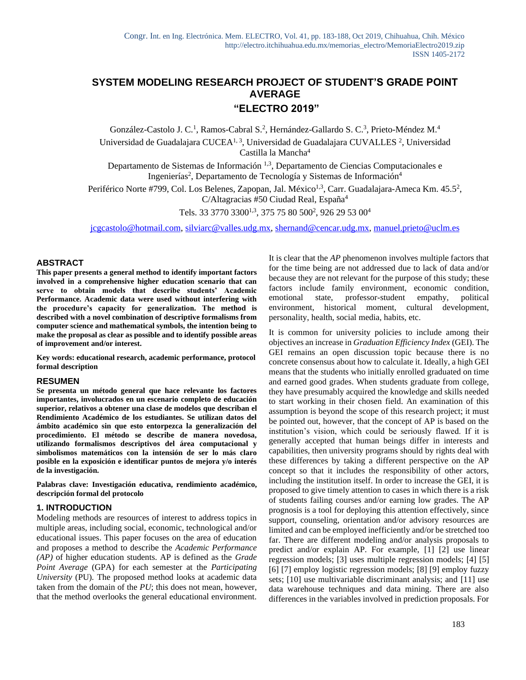# **SYSTEM MODELING RESEARCH PROJECT OF STUDENT'S GRADE POINT AVERAGE "ELECTRO 2019"**

González-Castolo J. C.<sup>1</sup>, Ramos-Cabral S.<sup>2</sup>, Hernández-Gallardo S. C.<sup>3</sup>, Prieto-Méndez M.<sup>4</sup> Universidad de Guadalajara CUCEA<sup>1, 3</sup>, Universidad de Guadalajara CUVALLES<sup>2</sup>, Universidad Castilla la Mancha<sup>4</sup>

Departamento de Sistemas de Información 1,3, Departamento de Ciencias Computacionales e Ingenierías<sup>2</sup>, Departamento de Tecnología y Sistemas de Información<sup>4</sup>

Periférico Norte #799, Col. Los Belenes, Zapopan, Jal. México<sup>1,3</sup>, Carr. Guadalajara-Ameca Km. 45.5<sup>2</sup>, C/Altagracias #50 Ciudad Real, España<sup>4</sup>

Tels. 33 3770 3300<sup>1,3</sup>, 375 75 80 500<sup>2</sup>, 926 29 53 00<sup>4</sup>

[jcgcastolo@hotmail.com,](mailto:jcgcastolo@hotmail.com) [silviarc@valles.udg.mx,](mailto:silviarc@valles.udg.mx) [shernand@cencar.udg.mx, manuel.prieto@uclm.es](mailto:shernand@cencar.udg.mx)

#### **ABSTRACT**

**This paper presents a general method to identify important factors involved in a comprehensive higher education scenario that can serve to obtain models that describe students' Academic Performance. Academic data were used without interfering with the procedure's capacity for generalization. The method is described with a novel combination of descriptive formalisms from computer science and mathematical symbols, the intention being to make the proposal as clear as possible and to identify possible areas of improvement and/or interest.**

**Key words: educational research, academic performance, protocol formal description**

#### **RESUMEN**

**Se presenta un método general que hace relevante los factores importantes, involucrados en un escenario completo de educación superior, relativos a obtener una clase de modelos que describan el Rendimiento Académico de los estudiantes. Se utilizan datos del ámbito académico sin que esto entorpezca la generalización del procedimiento. El método se describe de manera novedosa, utilizando formalismos descriptivos del área computacional y simbolismos matemáticos con la intensión de ser lo más claro posible en la exposición e identificar puntos de mejora y/o interés de la investigación.**

**Palabras clave: Investigación educativa, rendimiento académico, descripción formal del protocolo**

### **1. INTRODUCTION**

Modeling methods are resources of interest to address topics in multiple areas, including social, economic, technological and/or educational issues. This paper focuses on the area of education and proposes a method to describe the *Academic Performance (AP)* of higher education students. AP is defined as the *Grade Point Average* (GPA) for each semester at the *Participating University* (PU)*.* The proposed method looks at academic data taken from the domain of the *PU*; this does not mean, however, that the method overlooks the general educational environment. It is clear that the *AP* phenomenon involves multiple factors that for the time being are not addressed due to lack of data and/or because they are not relevant for the purpose of this study; these factors include family environment, economic condition, emotional state, professor-student empathy, political environment, historical moment, cultural development, personality, health, social media, habits, etc.

It is common for university policies to include among their objectives an increase in *Graduation Efficiency Index* (GEI). The GEI remains an open discussion topic because there is no concrete consensus about how to calculate it. Ideally, a high GEI means that the students who initially enrolled graduated on time and earned good grades. When students graduate from college, they have presumably acquired the knowledge and skills needed to start working in their chosen field. An examination of this assumption is beyond the scope of this research project; it must be pointed out, however, that the concept of AP is based on the institution's vision, which could be seriously flawed. If it is generally accepted that human beings differ in interests and capabilities, then university programs should by rights deal with these differences by taking a different perspective on the AP concept so that it includes the responsibility of other actors, including the institution itself. In order to increase the GEI, it is proposed to give timely attention to cases in which there is a risk of students failing courses and/or earning low grades. The AP prognosis is a tool for deploying this attention effectively, since support, counseling, orientation and/or advisory resources are limited and can be employed inefficiently and/or be stretched too far. There are different modeling and/or analysis proposals to predict and/or explain AP. For example, [1] [2] use linear regression models; [3] uses multiple regression models; [4] [5] [6] [7] employ logistic regression models; [8] [9] employ fuzzy sets; [10] use multivariable discriminant analysis; and [11] use data warehouse techniques and data mining. There are also differences in the variables involved in prediction proposals. For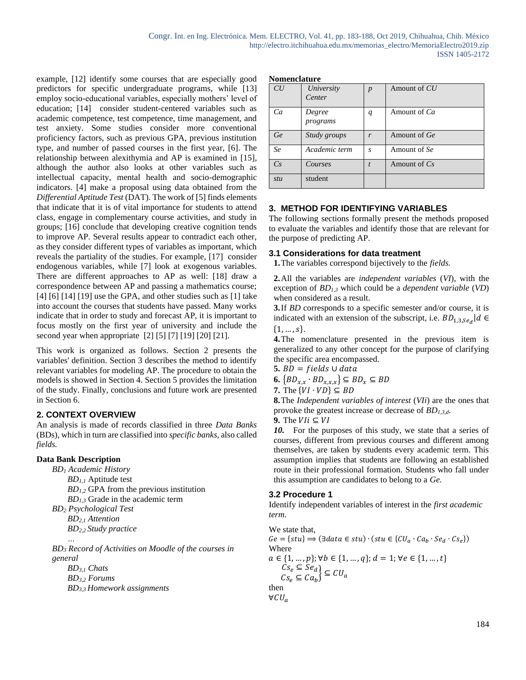example, [12] identify some courses that are especially good predictors for specific undergraduate programs, while [13] employ socio-educational variables, especially mothers' level of education; [14] consider student-centered variables such as academic competence, test competence, time management, and test anxiety. Some studies consider more conventional proficiency factors, such as previous GPA, previous institution type, and number of passed courses in the first year, [6]. The relationship between alexithymia and AP is examined in [15], although the author also looks at other variables such as intellectual capacity, mental health and socio-demographic indicators. [4] make a proposal using data obtained from the *Differential Aptitude Test* (DAT). The work of [5] finds elements that indicate that it is of vital importance for students to attend class, engage in complementary course activities, and study in groups; [16] conclude that developing creative cognition tends to improve AP. Several results appear to contradict each other, as they consider different types of variables as important, which reveals the partiality of the studies. For example, [17] consider endogenous variables, while [7] look at exogenous variables. There are different approaches to AP as well: [18] draw a correspondence between AP and passing a mathematics course; [4] [6] [14] [19] use the GPA, and other studies such as [1] take into account the courses that students have passed. Many works indicate that in order to study and forecast AP, it is important to focus mostly on the first year of university and include the second year when appropriate [2] [5] [7] [19] [20] [21].

This work is organized as follows. Section 2 presents the variables' definition. Section 3 describes the method to identify relevant variables for modeling AP. The procedure to obtain the models is showed in Section 4. Section 5 provides the limitation of the study. Finally, conclusions and future work are presented in Section 6.

# **2. CONTEXT OVERVIEW**

An analysis is made of records classified in three *Data Banks*  (BDs), which in turn are classified into *specific banks,* also called *fields.*

# **Data Bank Description**

*BD<sup>1</sup> Academic History BD1,1* Aptitude test *BD1,2* GPA from the previous institution *BD1,3* Grade in the academic term *BD<sup>2</sup> Psychological Test BD2,1 Attention BD2,2 Study practice … BD<sup>3</sup> Record of Activities on Moodle of the courses in general BD3,1 Chats BD3,2 Forums*

*BD3,3 Homework assignments*

#### **Nomenclature**

| CU      | University<br>Center | p                | Amount of CU   |
|---------|----------------------|------------------|----------------|
| Ca      | Degree<br>programs   | q                | Amount of Ca   |
| Ge      | Study groups         | r                | Amount of Ge   |
| Se      | Academic term        | $\mathcal{S}$    | Amount of Se   |
| $C_{S}$ | Courses              | $\boldsymbol{t}$ | Amount of $Cs$ |
| stu     | student              |                  |                |

# **3. METHOD FOR IDENTIFYING VARIABLES**

The following sections formally present the methods proposed to evaluate the variables and identify those that are relevant for the purpose of predicting AP.

## **3.1 Considerations for data treatment**

**1.**The variables correspond bijectively to the *fields.*

**2.**All the variables are *independent variables* (*VI*), with the exception of *BD1,3* which could be a *dependent variable* (*VD*) when considered as a result.

**3.**If *BD* corresponds to a specific semester and/or course, it is indicated with an extension of the subscript, i.e.  $BD_{1,3,Se_d}|d \in$  ${1, ..., s}.$ 

**4.**The nomenclature presented in the previous item is generalized to any other concept for the purpose of clarifying the specific area encompassed.

 $5. BD = fields \cup data$ 

**6.**  $\{BD_{x,x} \cdot BD_{x,x,x}\} \subseteq BD_x \subseteq BD$ 

7. The 
$$
\{VI \cdot VD\} \subseteq BD
$$

**8.**The *Independent variables of interest* (*VIi*) are the ones that provoke the greatest increase or decrease of *BD1,3,d*.

**9.** The  $V1i \subseteq V1$ 

*10.* For the purposes of this study, we state that a series of courses, different from previous courses and different among themselves, are taken by students every academic term. This assumption implies that students are following an established route in their professional formation. Students who fall under this assumption are candidates to belong to a *Ge.*

# **3.2 Procedure 1**

Identify independent variables of interest in the *first academic term*.

We state that,  $Ge = \{stu\} \Rightarrow (\exists data \in stu) \cdot (stu \in \{CU_a \cdot Ca_b \cdot Se_d \cdot Cs_e\})$ Where  $a \in \{1, \ldots, p\}; \forall b \in \{1, \ldots, q\}; d = 1; \forall e \in \{1, \ldots, t\}$  $Cs_e \subseteq Se_d$  $CS_e = \bigcup_{k=1}^{n} \bigcup_{j=1}^{n} \bigcup_{k=1}^{n} \bigcup_{k=1}^{n} \bigcup_{k=1}^{n} \bigcup_{k=1}^{n} \bigcup_{k=1}^{n} \bigcup_{k=1}^{n} \bigcup_{k=1}^{n} \bigcup_{k=1}^{n} \bigcup_{k=1}^{n} \bigcup_{k=1}^{n} \bigcup_{k=1}^{n} \bigcup_{k=1}^{n} \bigcup_{k=1}^{n} \bigcup_{k=1}^{n} \bigcup_{k=1}^{n} \bigcup_{k=1}^{n} \bigcup_{k=1}^{n} \bigcup_{k=1}$ then  $∀CU_a$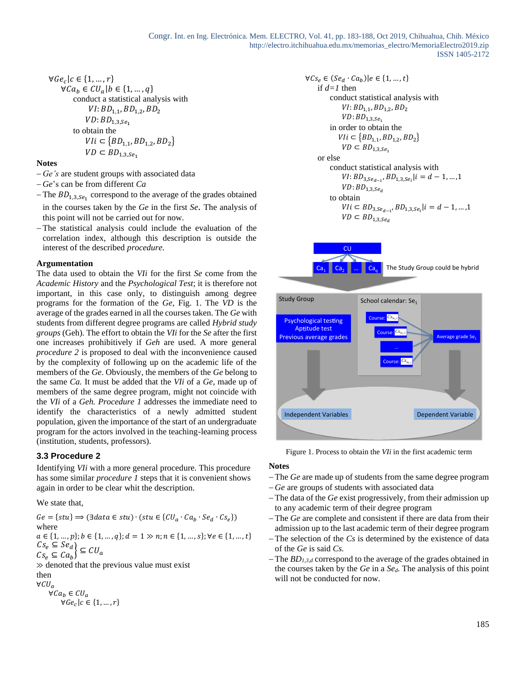$\forall Ge_c | c \in \{1, ..., r\}$  $\forall Ca_b \in CU_a | b \in \{1, ..., q\}$ conduct a statistical analysis with  $VI: BD_{1,1}, BD_{1,2}, BD_2$  $VD:BD_{1.3,Se_1}$ to obtain the  $VIi \subset \{BD_{1,1}, BD_{1,2}, BD_2\}$  $VD \subset BD_{1,3,Se_1}$ 

#### **Notes**

- − *Ge's* are student groups with associated data
- − *Ge*'s can be from different *Ca*
- $-$  The  $BD_{1,3,Se_1}$  correspond to the average of the grades obtained in the courses taken by the *Ge* in the first *Se*. The analysis of this point will not be carried out for now.
- − The statistical analysis could include the evaluation of the correlation index, although this description is outside the interest of the described *procedure*.

#### **Argumentation**

The data used to obtain the *VIi* for the first *Se* come from the *Academic History* and the *Psychological Test*; it is therefore not important, in this case only, to distinguish among degree programs for the formation of the *Ge*, Fig. 1. The *VD* is the average of the grades earned in all the courses taken. The *Ge* with students from different degree programs are called *Hybrid study groups* (Geh)*.* The effort to obtain the *VIi* for the *Se* after the first one increases prohibitively if *Geh* are used. A more general *procedure 2* is proposed to deal with the inconvenience caused by the complexity of following up on the academic life of the members of the *Ge*. Obviously, the members of the *Ge* belong to the same *Ca.* It must be added that the *VIi* of a *Ge,* made up of members of the same degree program, might not coincide with the *VIi* of a *Geh. Procedure 1* addresses the immediate need to identify the characteristics of a newly admitted student population, given the importance of the start of an undergraduate program for the actors involved in the teaching-learning process (institution, students, professors).

### **3.3 Procedure 2**

Identifying *VIi* with a more general procedure. This procedure has some similar *procedure 1* steps that it is convenient shows again in order to be clear whit the description.

We state that,

 $Ge = \{stu\} \Rightarrow (\exists data \in stu) \cdot (stu \in \{CU_a \cdot Ca_b \cdot Se_d \cdot Cs_e\})$ where  $a \in \{1, ..., p\}; b \in \{1, ..., q\}; d = 1 \gg n; n \in \{1, ..., s\}; \forall e \in \{1, ..., t\}$  $Cs_e \subseteq Se_d$  $CS_e = \bigcup_{k=1}^{3} \bigcup_{k=1}^{n} \bigcup_{k=1}^{n} \bigcup_{k=1}^{n} \bigcup_{k=1}^{n} \bigcup_{k=1}^{n} \bigcup_{k=1}^{n} \bigcup_{k=1}^{n} \bigcup_{k=1}^{n} \bigcup_{k=1}^{n} \bigcup_{k=1}^{n} \bigcup_{k=1}^{n} \bigcup_{k=1}^{n} \bigcup_{k=1}^{n} \bigcup_{k=1}^{n} \bigcup_{k=1}^{n} \bigcup_{k=1}^{n} \bigcup_{k=1}^{n} \bigcup_{k=1}^{n} \bigcup_{k=1}$ ≫ denoted that the previous value must exist then  $\forall CU_a$  $\forall Ca_b \in CU_a$  $\forall Ge_c | c \in \{1, ..., r\}$ 

$$
\forall Cs_e \in (Se_d \cdot Ca_b)|e \in \{1, ..., t\}
$$
  
if d=1 then  
conduct statistical analysis with  
 $VI: BD_{1,1}, BD_{1,2}, BD_2$   
 $VD: BD_{1,3,Se_1}$   
in order to obtain the  
 $Vli \in \{BD_{1,1}, BD_{1,2}, BD_2\}$   
 $VD \subset BD_{1,3,Se_1}$   
or else  
conduct statistical analysis with  
 $VI: BD_{3,Se_{d-1}}, BD_{1,3,Se_i}|i = d - 1, ..., 1$   
 $VD: BD_{1,3,Se_d}$   
to obtain  
 $Vli \subset BD_{3,Se_{d-1}}, BD_{1,3,Se_i}|i = d - 1, ..., 1$   
 $VD \subset BD_{1,3,Se_d}$   
  
 $Ca_1$   $Ca_2$   $\dots$   $Ca_a$  The Study Group could be hybrid



Figure 1. Process to obtain the *VIi* in the first academic term

#### **Notes**

a.

- − The *Ge* are made up of students from the same degree program
- − *Ge* are groups of students with associated data
- − The data of the *Ge* exist progressively, from their admission up to any academic term of their degree program
- − The *Ge* are complete and consistent if there are data from their admission up to the last academic term of their degree program
- − The selection of the *Cs* is determined by the existence of data of the *Ge* is said *Cs.*
- − The *BD1,3,d* correspond to the average of the grades obtained in the courses taken by the *Ge* in a *Sed*. The analysis of this point will not be conducted for now.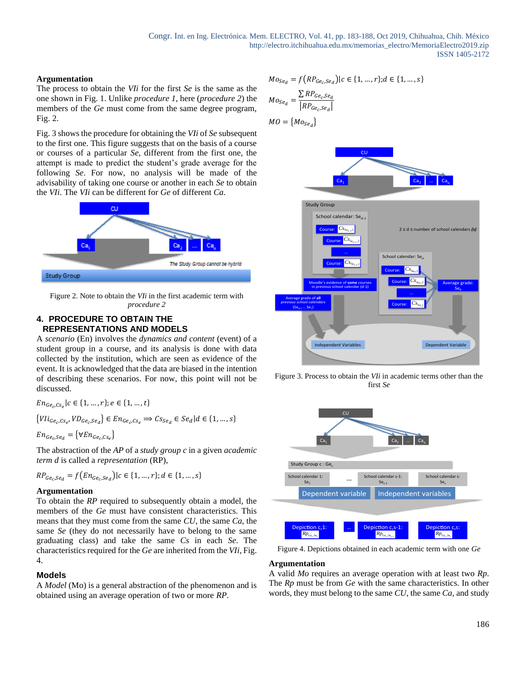### **Argumentation**

The process to obtain the *VIi* for the first *Se* is the same as the one shown in Fig. 1. Unlike *procedure 1,* here (*procedure 2*) the members of the *Ge* must come from the same degree program, Fig. 2.

Fig. 3 shows the procedure for obtaining the *VIi* of *Se* subsequent to the first one. This figure suggests that on the basis of a course or courses of a particular *Se*, different from the first one, the attempt is made to predict the student's grade average for the following *Se*. For now, no analysis will be made of the advisability of taking one course or another in each *Se* to obtain the *VIi*. The *VIi* can be different for *Ge* of different *Ca.*



Figure 2. Note to obtain the *VIi* in the first academic term with *procedure 2*

### **4. PROCEDURE TO OBTAIN THE REPRESENTATIONS AND MODELS**

A *scenario* (En) involves the *dynamics and content* (event) of a student group in a course, and its analysis is done with data collected by the institution, which are seen as evidence of the event. It is acknowledged that the data are biased in the intention of describing these scenarios. For now, this point will not be discussed.

 $En_{Ge_c, Cs_e} | c \in \{1, ..., r\}; e \in \{1, ..., t\}$ 

$$
\{Vli_{Ge_c, Ce_e}, VD_{Ge_c, Se_d}\} \in En_{Ge_c, Cs_e} \Rightarrow Cs_{Se_d} \in Se_d | d \in \{1, ..., s\}
$$
  

$$
En_{Ge_c, Se_d} = \{ \forall En_{Ge_c, Cs_s} \}
$$

The abstraction of the *AP* of a *study group c* in a given *academic term d* is called a *representation* (RP),

$$
RP_{Ge_c,Se_d} = f\big( En_{Ge_c,Se_d}\big) | c \in \{1, ..., r\}; d \in \{1, ..., s\}
$$

#### **Argumentation**

To obtain the *RP* required to subsequently obtain a model, the members of the *Ge* must have consistent characteristics. This means that they must come from the same *CU*, the same *Ca*, the same *Se* (they do not necessarily have to belong to the same graduating class) and take the same *Cs* in each *Se*. The characteristics required for the *Ge* are inherited from the *VIi*, Fig. 4.

### **Models**

A *Model* (Mo) is a general abstraction of the phenomenon and is obtained using an average operation of two or more *RP*.

$$
Mo_{Se_{d}} = f\left(RP_{Ge_{c},Se_{d}}\right) | c \in \{1, ..., r\}; d \in \{1, ..., s\}
$$

$$
Mo_{Se_{d}} = \frac{\sum RP_{Ge_{c},Se_{d}}}{|RP_{Ge_{c},Se_{d}}|}
$$

$$
MO = \{Mo_{Se_{d}}\}
$$



Figure 3. Process to obtain the *VIi* in academic terms other than the first *Se*



Figure 4. Depictions obtained in each academic term with one *Ge*

#### **Argumentation**

A valid *Mo* requires an average operation with at least two *Rp*. The *Rp* must be from *Ge* with the same characteristics. In other words, they must belong to the same *CU*, the same *Ca*, and study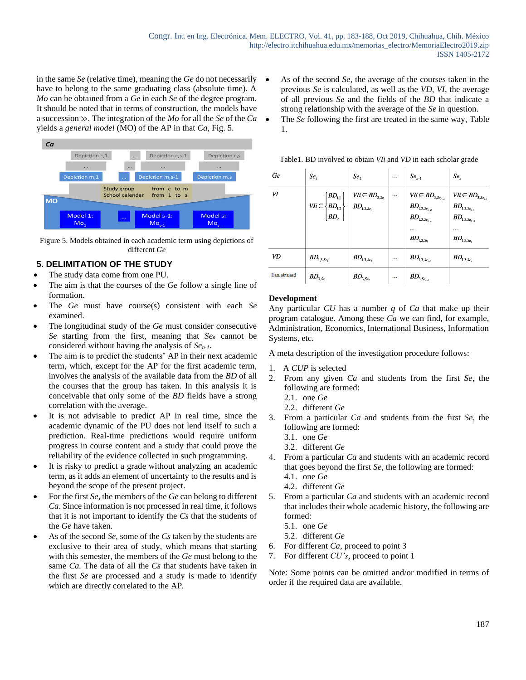in the same *Se* (relative time), meaning the *Ge* do not necessarily have to belong to the same graduating class (absolute time). A *Mo* can be obtained from a *Ge* in each *Se* of the degree program. It should be noted that in terms of construction, the models have a succession ≫. The integration of the *Mo* for all the *Se* of the *Ca* yields a *general model* (MO) of the AP in that *Ca*, Fig. 5.



Figure 5. Models obtained in each academic term using depictions of different *Ge*

# **5. DELIMITATION OF THE STUDY**

- The study data come from one PU.
- The aim is that the courses of the *Ge* follow a single line of formation.
- The *Ge* must have course(s) consistent with each *Se* examined.
- The longitudinal study of the *Ge* must consider consecutive *Se* starting from the first, meaning that *Se<sup>n</sup>* cannot be considered without having the analysis of *Sen-1*.
- The aim is to predict the students' AP in their next academic term, which, except for the AP for the first academic term, involves the analysis of the available data from the *BD* of all the courses that the group has taken. In this analysis it is conceivable that only some of the *BD* fields have a strong correlation with the average.
- It is not advisable to predict AP in real time, since the academic dynamic of the PU does not lend itself to such a prediction. Real-time predictions would require uniform progress in course content and a study that could prove the reliability of the evidence collected in such programming.
- It is risky to predict a grade without analyzing an academic term, as it adds an element of uncertainty to the results and is beyond the scope of the present project.
- For the first *Se*, the members of the *Ge* can belong to different *Ca*. Since information is not processed in real time, it follows that it is not important to identify the *Cs* that the students of the *Ge* have taken.
- As of the second *Se*, some of the *Cs* taken by the students are exclusive to their area of study, which means that starting with this semester, the members of the *Ge* must belong to the same *Ca.* The data of all the *Cs* that students have taken in the first *Se* are processed and a study is made to identify which are directly correlated to the AP*.*
- As of the second *Se*, the average of the courses taken in the previous *Se* is calculated, as well as the *VD*, *VI*, the average of all previous *Se* and the fields of the *BD* that indicate a strong relationship with the average of the *Se* in question.
- The *Se* following the first are treated in the same way, Table 1.

| Table 1. BD involved to obtain <i>VIi</i> and <i>VD</i> in each scholar grade |  |  |  |  |  |
|-------------------------------------------------------------------------------|--|--|--|--|--|
|                                                                               |  |  |  |  |  |

| Ge            | Se <sub>1</sub>                                                                      | Se,                                      | $\cdots$ | $Se_{s-1}$                                                                                                   | Se,                                                                                                                                                                            |
|---------------|--------------------------------------------------------------------------------------|------------------------------------------|----------|--------------------------------------------------------------------------------------------------------------|--------------------------------------------------------------------------------------------------------------------------------------------------------------------------------|
| VI            | $\left(BD_{1,1}\right)$<br>$V I i \in \left\{ B D_{1,2} \right\}$<br>BD <sub>2</sub> | $Vli \in BD_{3,Se_i}$<br>$BD_{1,3,Se_1}$ | $\cdots$ | $Vli \in BD_{3,Se_{n-2}}$<br>$BD_{1,3,Se_{s-2}}$<br>$BD_{1,3,Se_{s-3}}$<br><br>$\pmb{BD}_{\!1,3,\pmb{Se}_1}$ | $Vli \in BD_{3,Se_{s-1}}$<br>$\mathit{BD}_{\scriptscriptstyle 1,3,Se_{\scriptscriptstyle s-\scriptscriptstyle 1}}$<br>$\pmb{BD}_{1,3,Se_{s-2}}$<br><br>$\pmb{BD}_{\!1,3,Se_1}$ |
| VD            | $\pmb{BD}_{\!1,3,Se_{1}}$                                                            | $\pmb{BD}_{\!1,3,Se_2}$                  | $\cdots$ | $\pmb{BD}_{\!1,3,Se_{s-1}}$                                                                                  | $\mathit{BD}_{1,3,Se_s}$                                                                                                                                                       |
| Data obtained | $\pmb{BD}_{3,\pmb{Se}_1}$                                                            | $BD_{3,Se_2}$                            |          | $\mathit{BD}_{3,\mathit{Se}_{s-1}}$                                                                          |                                                                                                                                                                                |

# **Development**

Any particular *CU* has a number *q* of *Ca* that make up their program catalogue. Among these *Ca* we can find, for example, Administration, Economics, International Business, Information Systems, etc.

A meta description of the investigation procedure follows:

- 1. A *CUP* is selected
- 2. From any given *Ca* and students from the first *Se*, the following are formed:
	- 2.1. one *Ge*
	- 2.2. different *Ge*
- 3. From a particular *Ca* and students from the first *Se*, the following are formed:
	- 3.1. one *Ge*
	- 3.2. different *Ge*
- 4. From a particular *Ca* and students with an academic record that goes beyond the first *Se*, the following are formed: 4.1. one *Ge*
	- 4.2. different *Ge*
- 5. From a particular *Ca* and students with an academic record that includes their whole academic history, the following are formed:
	- 5.1. one *Ge*
	- 5.2. different *Ge*
- 6. For different *Ca*, proceed to point 3
- 7. For different *CU's*, proceed to point 1

Note: Some points can be omitted and/or modified in terms of order if the required data are available.